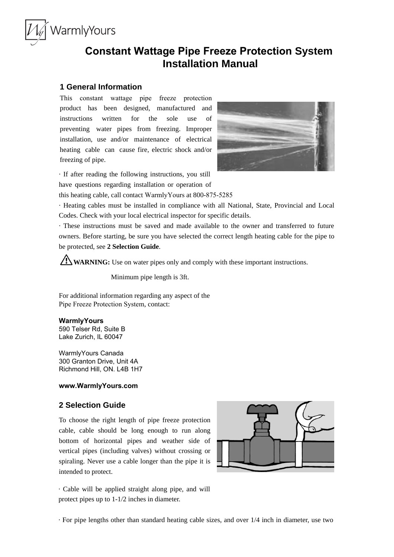# **Constant Wattage Pipe Freeze Protection System Installation Manual**

# **1 General Information**

WarmlyYours

This constant wattage pipe freeze protection product has been designed, manufactured and instructions written for the sole use of preventing water pipes from freezing. Improper installation, use and/or maintenance of electrical heating cable can cause fire, electric shock and/or freezing of pipe.



· If after reading the following instructions, you still have questions regarding installation or operation of

this heating cable, call contact WarmlyYours at 800-875-5285

· Heating cables must be installed in compliance with all National, State, Provincial and Local Codes. Check with your local electrical inspector for specific details.

· These instructions must be saved and made available to the owner and transferred to future owners. Before starting, be sure you have selected the correct length heating cable for the pipe to be protected, see **2 Selection Guide**.

**WARNING:** Use on water pipes only and comply with these important instructions.

Minimum pipe length is 3ft.

For additional information regarding any aspect of the Pipe Freeze Protection System, contact:

## **WarmlyYours**

590 Telser Rd, Suite B Lake Zurich, IL 60047

WarmlyYours Canada 300 Granton Drive, Unit 4A Richmond Hill, ON. L4B 1H7

## **www.WarmlyYours.com**

# **2 Selection Guide**

To choose the right length of pipe freeze protection cable, cable should be long enough to run along bottom of horizontal pipes and weather side of vertical pipes (including valves) without crossing or spiraling. Never use a cable longer than the pipe it is intended to protect.



· Cable will be applied straight along pipe, and will protect pipes up to 1-1/2 inches in diameter.

· For pipe lengths other than standard heating cable sizes, and over 1/4 inch in diameter, use two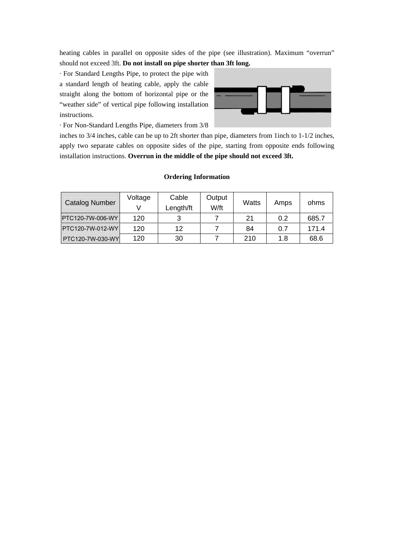heating cables in parallel on opposite sides of the pipe (see illustration). Maximum "overrun" should not exceed 3ft. **Do not install on pipe shorter than 3ft long.**

· For Standard Lengths Pipe, to protect the pipe with a standard length of heating cable, apply the cable straight along the bottom of horizontal pipe or the "weather side" of vertical pipe following installation instructions.



· For Non-Standard Lengths Pipe, diameters from 3/8

inches to 3/4 inches, cable can be up to 2ft shorter than pipe, diameters from 1inch to 1-1/2 inches, apply two separate cables on opposite sides of the pipe, starting from opposite ends following installation instructions. **Overrun in the middle of the pipe should not exceed 3ft.**

## **Ordering Information**

| <b>Catalog Number</b>   | Voltage | Cable<br>Length/ft | Output<br>W/ft | Watts | Amps | ohms  |
|-------------------------|---------|--------------------|----------------|-------|------|-------|
| PTC120-7W-006-WY        | 120     | ◠                  |                | 21    | 0.2  | 685.7 |
| <b>PTC120-7W-012-WY</b> | 120     | 12                 |                | 84    | 0.7  | 171.4 |
| <b>PTC120-7W-030-WY</b> | 120     | 30                 |                | 210   | 1.8  | 68.6  |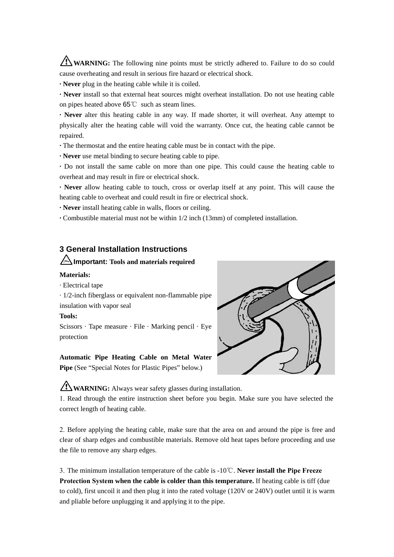WARNING: The following nine points must be strictly adhered to. Failure to do so could cause overheating and result in serious fire hazard or electrical shock.

**· Never** plug in the heating cable while it is coiled.

**· Never** install so that external heat sources might overheat installation. Do not use heating cable on pipes heated above 65℃ such as steam lines.

**· Never** alter this heating cable in any way. If made shorter, it will overheat. Any attempt to physically alter the heating cable will void the warranty. Once cut, the heating cable cannot be repaired.

**·** The thermostat and the entire heating cable must be in contact with the pipe.

**· Never** use metal binding to secure heating cable to pipe.

**·** Do not install the same cable on more than one pipe. This could cause the heating cable to overheat and may result in fire or electrical shock.

**· Never** allow heating cable to touch, cross or overlap itself at any point. This will cause the heating cable to overheat and could result in fire or electrical shock.

**· Never** install heating cable in walls, floors or ceiling.

**·** Combustible material must not be within 1/2 inch (13mm) of completed installation.

# **3 General Installation Instructions**

# **Important: Tools and materials required**

### **Materials:**

· Electrical tape

· 1/2-inch fiberglass or equivalent non-flammable pipe insulation with vapor seal

### **Tools:**

Scissors · Tape measure · File · Marking pencil · Eye protection

#### **Automatic Pipe Heating Cable on Metal Water**

**Pipe** (See "Special Notes for Plastic Pipes" below.)



**WARNING:** Always wear safety glasses during installation.

1. Read through the entire instruction sheet before you begin. Make sure you have selected the correct length of heating cable.

2. Before applying the heating cable, make sure that the area on and around the pipe is free and clear of sharp edges and combustible materials. Remove old heat tapes before proceeding and use the file to remove any sharp edges.

3. The minimum installation temperature of the cable is -10℃. **Never install the Pipe Freeze Protection System when the cable is colder than this temperature.** If heating cable is tiff (due to cold), first uncoil it and then plug it into the rated voltage (120V or 240V) outlet until it is warm and pliable before unplugging it and applying it to the pipe.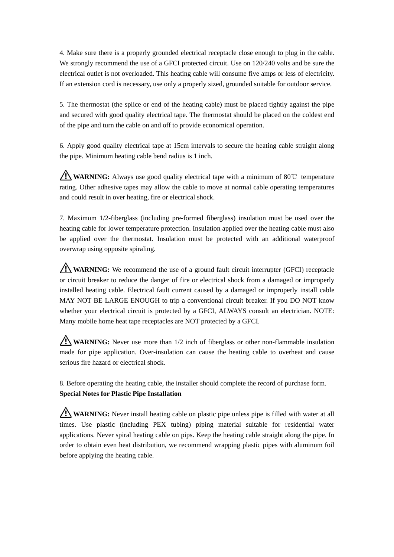4. Make sure there is a properly grounded electrical receptacle close enough to plug in the cable. We strongly recommend the use of a GFCI protected circuit. Use on  $120/240$  volts and be sure the electrical outlet is not overloaded. This heating cable will consume five amps or less of electricity. If an extension cord is necessary, use only a properly sized, grounded suitable for outdoor service.

5. The thermostat (the splice or end of the heating cable) must be placed tightly against the pipe and secured with good quality electrical tape. The thermostat should be placed on the coldest end of the pipe and turn the cable on and off to provide economical operation.

6. Apply good quality electrical tape at 15cm intervals to secure the heating cable straight along the pipe. Minimum heating cable bend radius is 1 inch.

**WARNING:** Always use good quality electrical tape with a minimum of 80℃ temperature rating. Other adhesive tapes may allow the cable to move at normal cable operating temperatures and could result in over heating, fire or electrical shock.

7. Maximum 1/2-fiberglass (including pre-formed fiberglass) insulation must be used over the heating cable for lower temperature protection. Insulation applied over the heating cable must also be applied over the thermostat. Insulation must be protected with an additional waterproof overwrap using opposite spiraling.

**WARNING:** We recommend the use of a ground fault circuit interrupter (GFCI) receptacle or circuit breaker to reduce the danger of fire or electrical shock from a damaged or improperly installed heating cable. Electrical fault current caused by a damaged or improperly install cable MAY NOT BE LARGE ENOUGH to trip a conventional circuit breaker. If you DO NOT know whether your electrical circuit is protected by a GFCI, ALWAYS consult an electrician. NOTE: Many mobile home heat tape receptacles are NOT protected by a GFCI.

**WARNING:** Never use more than 1/2 inch of fiberglass or other non-flammable insulation made for pipe application. Over-insulation can cause the heating cable to overheat and cause serious fire hazard or electrical shock.

8. Before operating the heating cable, the installer should complete the record of purchase form. **Special Notes for Plastic Pipe Installation**

**WARNING:** Never install heating cable on plastic pipe unless pipe is filled with water at all times. Use plastic (including PEX tubing) piping material suitable for residential water applications. Never spiral heating cable on pips. Keep the heating cable straight along the pipe. In order to obtain even heat distribution, we recommend wrapping plastic pipes with aluminum foil before applying the heating cable.